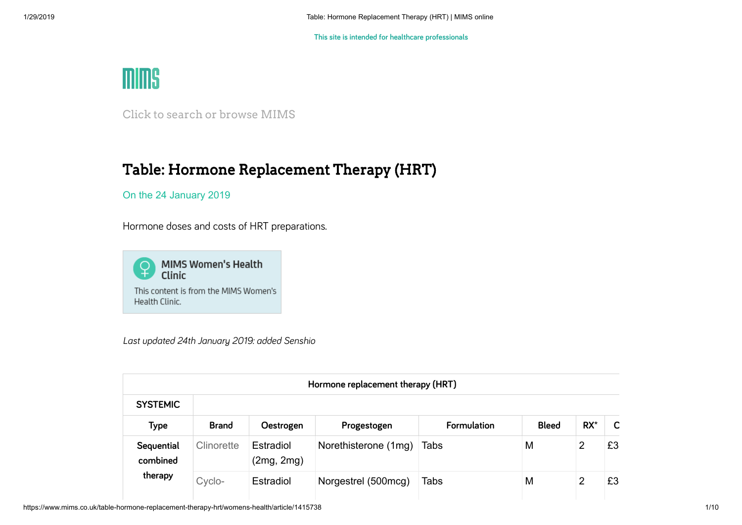

Click to search or browse MIMS

# Table: Hormone Replacement Therapy (HRT)

On the 24 January 2019

Hormone doses and costs of HRT preparations.



*Last updated 24th January 2019: added Senshio*

| Hormone replacement therapy (HRT) |              |                         |                      |             |              |        |    |  |
|-----------------------------------|--------------|-------------------------|----------------------|-------------|--------------|--------|----|--|
| <b>SYSTEMIC</b>                   |              |                         |                      |             |              |        |    |  |
| Type                              | <b>Brand</b> | Oestrogen               | Progestogen          | Formulation | <b>Bleed</b> | $RX^*$ | C  |  |
| Sequential<br>combined<br>therapy | Clinorette   | Estradiol<br>(2mg, 2mg) | Norethisterone (1mg) | Tabs        | M            | 2      | £3 |  |
|                                   | Cyclo-       | Estradiol               | Norgestrel (500mcg)  | Tabs        | M            | 2      | £3 |  |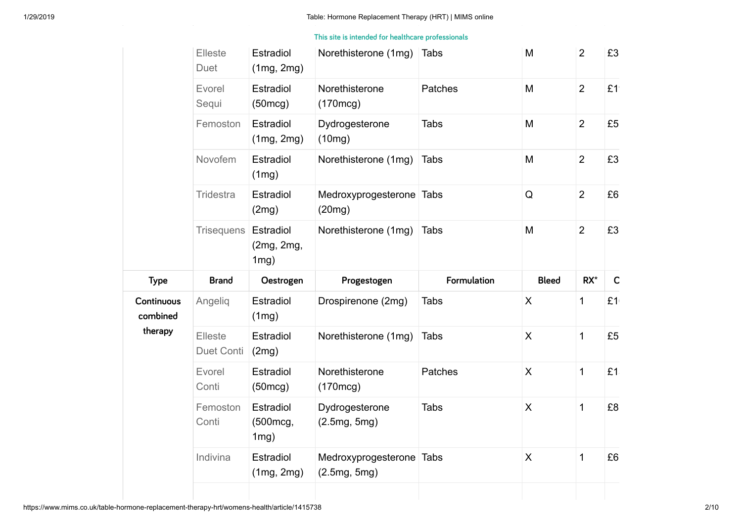**This site is intended for healthcare professionals**

|                        | Elleste<br>Duet       | Estradiol<br>(1mg, 2mg)            | Norethisterone (1mg)                     | <b>Tabs</b> | M                         | $\overline{2}$ | £3              |
|------------------------|-----------------------|------------------------------------|------------------------------------------|-------------|---------------------------|----------------|-----------------|
|                        | Evorel<br>Sequi       | Estradiol<br>(50mcg)               | Norethisterone<br>(170mcg)               | Patches     | M                         | $\overline{2}$ | £1              |
|                        | Femoston              | Estradiol<br>(1mg, 2mg)            | Dydrogesterone<br>(10mg)                 | <b>Tabs</b> | M                         | $\overline{2}$ | £5              |
|                        | Novofem               | Estradiol<br>(1mg)                 | Norethisterone (1mg)                     | <b>Tabs</b> | M                         | $\overline{2}$ | £3              |
|                        | Tridestra             | Estradiol<br>(2mg)                 | Medroxyprogesterone Tabs<br>(20mg)       |             | Q                         | $\overline{2}$ | £6              |
|                        | <b>Trisequens</b>     | Estradiol<br>(2mg, 2mg,<br>$1mg$ ) | Norethisterone (1mg)                     | <b>Tabs</b> | M                         | $\overline{2}$ | £3              |
|                        |                       |                                    |                                          |             |                           |                |                 |
| <b>Type</b>            | <b>Brand</b>          | Oestrogen                          | Progestogen                              | Formulation | <b>Bleed</b>              | $RX^*$         | $\mathsf{C}$    |
| Continuous<br>combined | Angelig               | Estradiol<br>(1mg)                 | Drospirenone (2mg)                       | <b>Tabs</b> | X                         | $\mathbf 1$    | £1 <sub>1</sub> |
| therapy                | Elleste<br>Duet Conti | Estradiol<br>(2mg)                 | Norethisterone (1mg)                     | <b>Tabs</b> | $\boldsymbol{\mathsf{X}}$ | $\mathbf{1}$   | £5              |
|                        | Evorel<br>Conti       | Estradiol<br>(50mcg)               | Norethisterone<br>(170mcg)               | Patches     | $\sf X$                   | $\mathbf{1}$   | £1.             |
|                        | Femoston<br>Conti     | Estradiol<br>(500mcg,<br>1mg)      | Dydrogesterone<br>(2.5mg, 5mg)           | <b>Tabs</b> | $\mathsf{X}$              | $\mathbf{1}$   | £8              |
|                        | Indivina              | Estradiol<br>(1mg, 2mg)            | Medroxyprogesterone Tabs<br>(2.5mg, 5mg) |             | $\boldsymbol{\mathsf{X}}$ | $\mathbf{1}$   | £6              |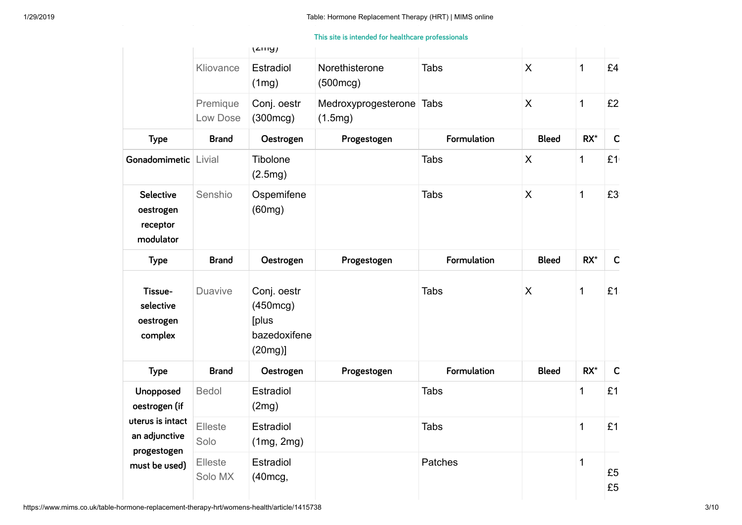Norethisterone (1mg) Tabs X 1 £3 **This site is intended for healthcare professionals**

|                                                                                                 |                      | (2119)                                                         |                                |                    |              |              |                 |
|-------------------------------------------------------------------------------------------------|----------------------|----------------------------------------------------------------|--------------------------------|--------------------|--------------|--------------|-----------------|
|                                                                                                 | Kliovance            | Estradiol<br>(1mg)                                             | Norethisterone<br>(500mcg)     | <b>Tabs</b>        | $\mathsf{X}$ | $\mathbf{1}$ | £4              |
|                                                                                                 | Premique<br>Low Dose | Conj. oestr<br>(300mcg)                                        | Medroxyprogesterone<br>(1.5mg) | <b>Tabs</b>        | X            | $\mathbf{1}$ | £2              |
| <b>Type</b>                                                                                     | <b>Brand</b>         | Oestrogen                                                      | Progestogen                    | <b>Formulation</b> | <b>Bleed</b> | $RX^*$       | $\mathsf{C}$    |
| Gonadomimetic Livial                                                                            |                      | Tibolone<br>(2.5mg)                                            |                                | <b>Tabs</b>        | X            | $\mathbf{1}$ | £1 <sub>1</sub> |
| Selective<br>oestrogen<br>receptor<br>modulator                                                 | Senshio              | Ospemifene<br>(60mg)                                           |                                | <b>Tabs</b>        | X            | $\mathbf{1}$ | £3              |
| <b>Type</b>                                                                                     | <b>Brand</b>         | Oestrogen                                                      | Progestogen                    | Formulation        | <b>Bleed</b> | $RX^*$       | $\mathsf{C}$    |
| Tissue-<br>selective<br>oestrogen<br>complex                                                    | <b>Duavive</b>       | Conj. oestr<br>(450mcg)<br>[plus<br>bazedoxifene<br>$(20mg)$ ] |                                | <b>Tabs</b>        | X            | $\mathbf{1}$ | £1              |
| <b>Type</b>                                                                                     | <b>Brand</b>         | Oestrogen                                                      | Progestogen                    | <b>Formulation</b> | <b>Bleed</b> | $RX^*$       | $\mathsf{C}$    |
| Unopposed<br>oestrogen (if<br>uterus is intact<br>an adjunctive<br>progestogen<br>must be used) | <b>Bedol</b>         | Estradiol<br>(2mg)                                             |                                | <b>Tabs</b>        |              | $\mathbf{1}$ | £1              |
|                                                                                                 | Elleste<br>Solo      | Estradiol<br>(1mg, 2mg)                                        |                                | <b>Tabs</b>        |              | $\mathbf{1}$ | £1              |
|                                                                                                 | Elleste<br>Solo MX   | Estradiol<br>(40mcg,                                           |                                | Patches            |              | $\mathbf{1}$ | £5<br>£5        |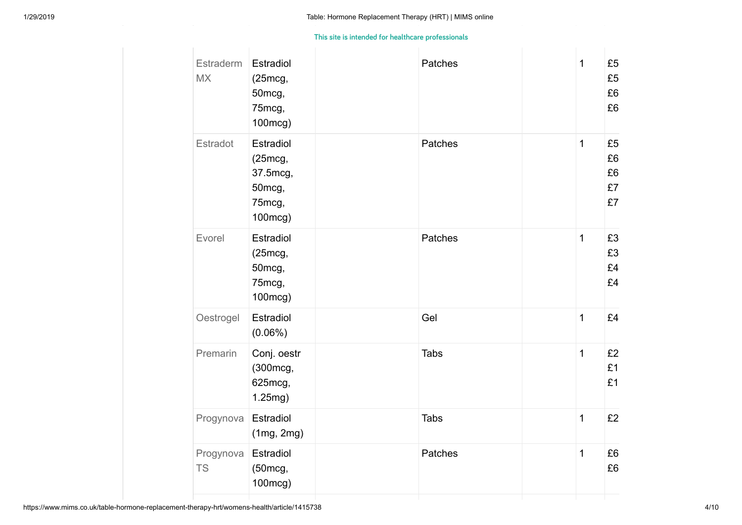| Estraderm<br><b>MX</b> | Estradiol<br>(25mcg,<br>50mcg,<br>75mcg,<br>100mcg)             | Patches     | 1              | £5<br>£5<br>£6<br>£6       |
|------------------------|-----------------------------------------------------------------|-------------|----------------|----------------------------|
| Estradot               | Estradiol<br>(25mcg,<br>37.5mcg,<br>50mcg,<br>75mcg,<br>100mcg) | Patches     | 1              | £5<br>£6<br>£6<br>£7<br>£7 |
| Evorel                 | Estradiol<br>(25mcg,<br>50mcg,<br>75mcg,<br>100mcg)             | Patches     | 1              | £3<br>£3<br>£4<br>£4       |
| Oestrogel              | Estradiol<br>$(0.06\%)$                                         | Gel         | $\overline{1}$ | £4                         |
| Premarin               | Conj. oestr<br>(300mcg,<br>625mcg,<br>1.25mg)                   | <b>Tabs</b> | $\overline{1}$ | £2<br>£1<br>£1             |
| Progynova              | Estradiol<br>(1mg, 2mg)                                         | <b>Tabs</b> | 1              | £2                         |
| Progynova<br><b>TS</b> | Estradiol<br>(50mcg,<br>100mcg)                                 | Patches     | 1              | £6<br>£6                   |
|                        |                                                                 |             |                |                            |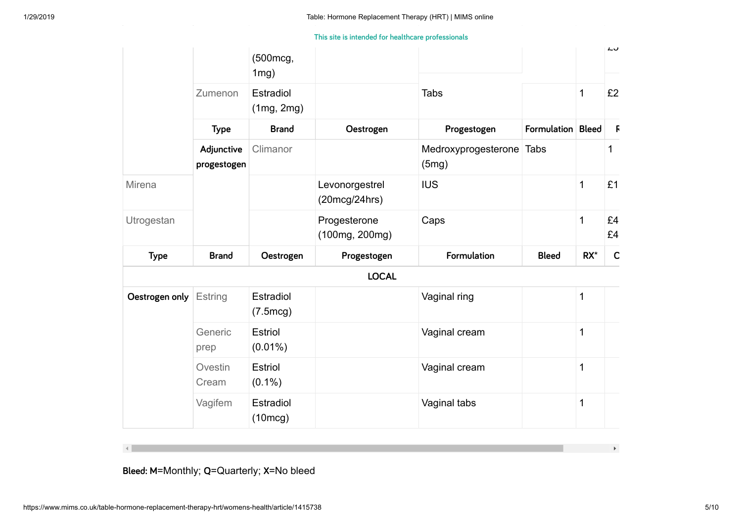Gel **This site is intended for healthcare professionals**

|                |                           | (500mcg,<br>$1mg$ )     |                                 |                                   |                   |              | んぴ           |
|----------------|---------------------------|-------------------------|---------------------------------|-----------------------------------|-------------------|--------------|--------------|
|                | Zumenon                   | Estradiol<br>(1mg, 2mg) |                                 | <b>Tabs</b>                       |                   | $\mathbf{1}$ | £2           |
|                | <b>Type</b>               | <b>Brand</b>            | Oestrogen                       | Progestogen                       | Formulation Bleed |              | $\mathsf F$  |
|                | Adjunctive<br>progestogen | Climanor                |                                 | Medroxyprogesterone Tabs<br>(5mg) |                   |              | 1            |
| Mirena         |                           |                         | Levonorgestrel<br>(20mcg/24hrs) | <b>IUS</b>                        |                   | 1            | £1           |
| Utrogestan     |                           |                         | Progesterone<br>(100mg, 200mg)  | Caps                              |                   | $\mathbf 1$  | £4<br>£4     |
| <b>Type</b>    | <b>Brand</b>              | Oestrogen               | Progestogen                     | Formulation                       | <b>Bleed</b>      | $RX^*$       | $\mathsf{C}$ |
|                |                           |                         | <b>LOCAL</b>                    |                                   |                   |              |              |
| Oestrogen only | Estring                   | Estradiol<br>(7.5mcg)   |                                 | Vaginal ring                      |                   | 1            |              |
|                | Generic<br>prep           | Estriol<br>$(0.01\%)$   |                                 | Vaginal cream                     |                   | 1            |              |
|                | Ovestin<br>Cream          | Estriol<br>$(0.1\%)$    |                                 | Vaginal cream                     |                   | 1            |              |
|                | Vagifem                   | Estradiol<br>(10mcg)    |                                 | Vaginal tabs                      |                   | $\mathbf 1$  |              |

**Bleed: M**=Monthly; **Q**=Quarterly; **X**=No bleed

 $\vert \cdot \vert$ 

 $\mathbf{b}$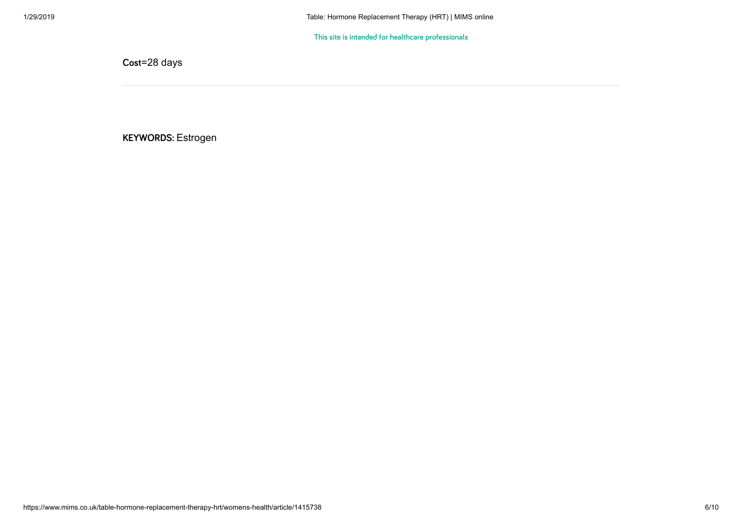$\blacksquare$ 

**Cost**=28 days

**KEYWORDS:** Estrogen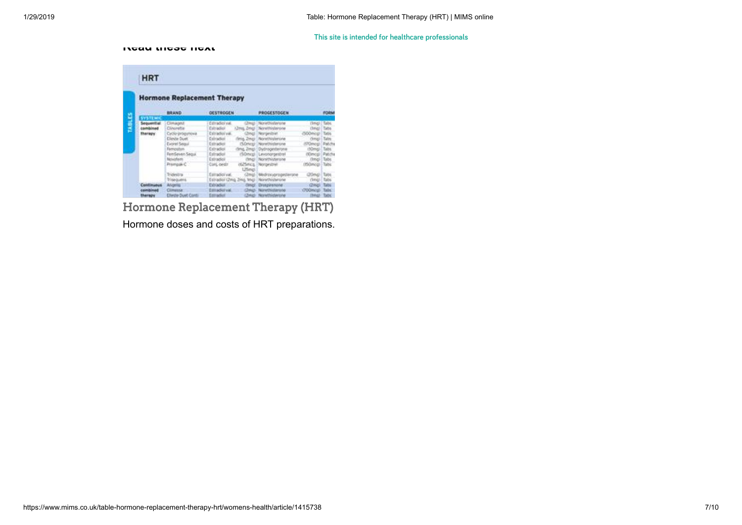#### **Read these next**

|   | <b>HRT</b>                                                  |                                                                                                                                                                   |                                                                                                                                                                                                                                                                                       |                                                                                                                                                                                                                           |                                                                                                                                                                               |                                      |
|---|-------------------------------------------------------------|-------------------------------------------------------------------------------------------------------------------------------------------------------------------|---------------------------------------------------------------------------------------------------------------------------------------------------------------------------------------------------------------------------------------------------------------------------------------|---------------------------------------------------------------------------------------------------------------------------------------------------------------------------------------------------------------------------|-------------------------------------------------------------------------------------------------------------------------------------------------------------------------------|--------------------------------------|
|   | <b>Hormone Replacement Therapy</b>                          |                                                                                                                                                                   |                                                                                                                                                                                                                                                                                       |                                                                                                                                                                                                                           |                                                                                                                                                                               |                                      |
|   |                                                             | BRAND                                                                                                                                                             | <b>OESTROGEN</b>                                                                                                                                                                                                                                                                      | <b>PROGESTOCEN</b>                                                                                                                                                                                                        |                                                                                                                                                                               | <b>FORM</b>                          |
| H | <b>SYSTEMS</b><br>Sequential<br>combined<br><b>Hharvagy</b> | Climagest<br>Cinorette<br>Cycle-progynova<br><b>Climbs Duet</b><br>Evoret Segui<br>Femaubon.<br>FemSeven Sequi<br>Novohem<br>Prampak C.<br>SVOHSTA<br>Trisequent. | Estrades val.<br>Estradien<br>China, Zwield<br>Estradiolysi.<br>(Zmel<br>Exhradical -<br>finia, Zmai<br>Estradioi<br>(%Ortex)<br><b>Cutradici</b><br>drive, Zmapi<br>Estradici<br>Estradici<br>(britis)<br>Coni, ovetr<br><b>USeci</b><br>Estradici val.<br>Estradioi (2mg, 2mg, 1mg) | Norwithislanger<br>Nonvithinilances<br>Norgestret<br>Norethisterone<br>Norethistanone<br>Dydrogenfavone<br>r50mcgl Levonorgestrat<br>Nonethingwome<br>otatimica. Norgestrell<br>(2mg)   Medrosuprogetterone<br>Novementen | (feng)<br>(Teng) Tabs<br>(500mos)<br>(firme) 1 Talos<br>(FOIncg) Patch<br>(Nüme) Tabs<br>(Kimogi Patch)<br>(Ima)   Tabs<br>(HiGmcg) - Tabs<br><b>Chilencia</b><br>(treg) Eabs | <b>Talts</b><br><b>Tales</b><br>Tuos |
|   | <b>Continuous</b><br><b>Committee Address</b><br>therapy    | Angelia <sup>*</sup><br>Climessa<br><b>Clieste Duet Caves</b>                                                                                                     | <b>Exhibition</b><br><b>Clevela</b><br>DISSIGNEE<br><b>Check</b><br>Estradict                                                                                                                                                                                                         | Druspalanone<br>Novembershe<br>Child Nonthistanone                                                                                                                                                                        | <b>Chinati</b><br>(700m/ol)<br><b>IMAGE: TADS</b>                                                                                                                             | Tabi<br><b>Talls</b>                 |

[Hormone Replacement](https://www.mims.co.uk/hormone-replacement-therapy-hrt/womens-health/article/882443) Therapy (HRT) Hormone doses and costs of HRT preparations.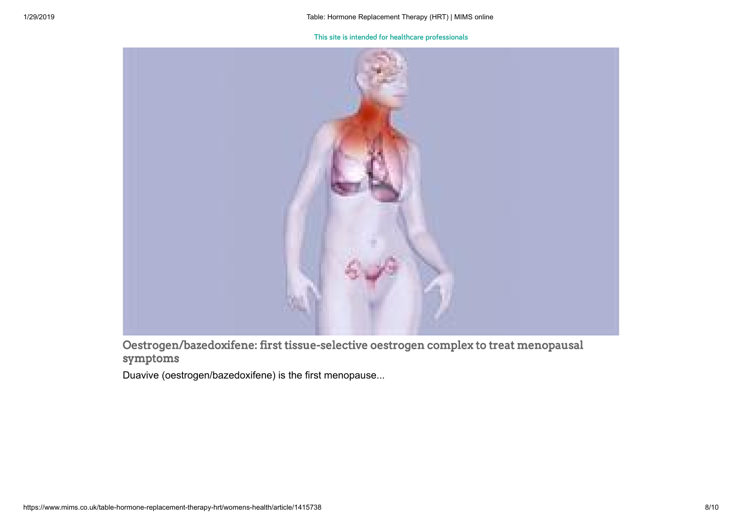

Oestrogen/bazedoxifene: first [tissue-selective oestrogen](https://www.mims.co.uk/oestrogen-bazedoxifene-first-tissue-selective-oestrogen-complex-treat-menopausal-symptoms/womens-health/article/1401303) complex to treat menopausal symptoms

Duavive (oestrogen/bazedoxifene) is the first menopause...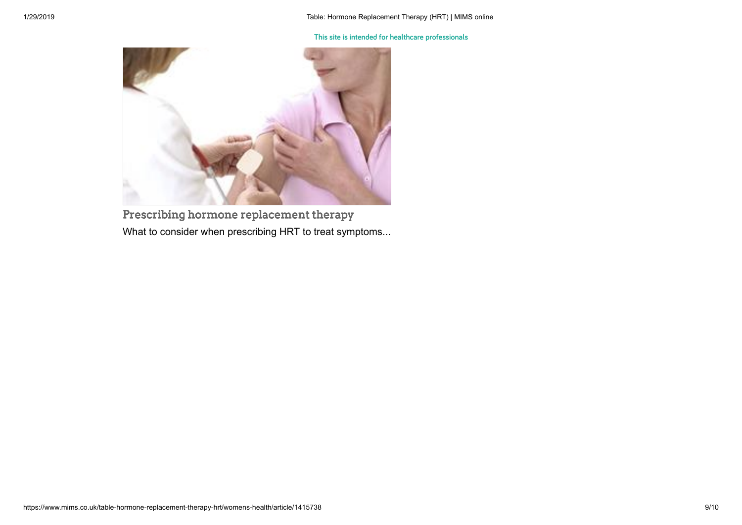

[Prescribing hormone replacement](https://www.mims.co.uk/prescribing-hormone-replacement-therapy/womens-health/menopausal-and-hrt/article/1396283) therapy What to consider when prescribing HRT to treat symptoms...